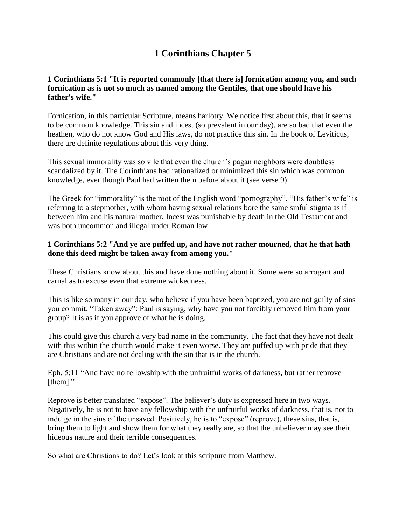# **1 Corinthians Chapter 5**

### **1 Corinthians 5:1 "It is reported commonly [that there is] fornication among you, and such fornication as is not so much as named among the Gentiles, that one should have his father's wife."**

Fornication, in this particular Scripture, means harlotry. We notice first about this, that it seems to be common knowledge. This sin and incest (so prevalent in our day), are so bad that even the heathen, who do not know God and His laws, do not practice this sin. In the book of Leviticus, there are definite regulations about this very thing.

This sexual immorality was so vile that even the church's pagan neighbors were doubtless scandalized by it. The Corinthians had rationalized or minimized this sin which was common knowledge, ever though Paul had written them before about it (see verse 9).

The Greek for "immorality" is the root of the English word "pornography". "His father's wife" is referring to a stepmother, with whom having sexual relations bore the same sinful stigma as if between him and his natural mother. Incest was punishable by death in the Old Testament and was both uncommon and illegal under Roman law.

### **1 Corinthians 5:2 "And ye are puffed up, and have not rather mourned, that he that hath done this deed might be taken away from among you."**

These Christians know about this and have done nothing about it. Some were so arrogant and carnal as to excuse even that extreme wickedness.

This is like so many in our day, who believe if you have been baptized, you are not guilty of sins you commit. "Taken away": Paul is saying, why have you not forcibly removed him from your group? It is as if you approve of what he is doing.

This could give this church a very bad name in the community. The fact that they have not dealt with this within the church would make it even worse. They are puffed up with pride that they are Christians and are not dealing with the sin that is in the church.

Eph. 5:11 "And have no fellowship with the unfruitful works of darkness, but rather reprove [them]."

Reprove is better translated "expose". The believer's duty is expressed here in two ways. Negatively, he is not to have any fellowship with the unfruitful works of darkness, that is, not to indulge in the sins of the unsaved. Positively, he is to "expose" (reprove), these sins, that is, bring them to light and show them for what they really are, so that the unbeliever may see their hideous nature and their terrible consequences.

So what are Christians to do? Let's look at this scripture from Matthew.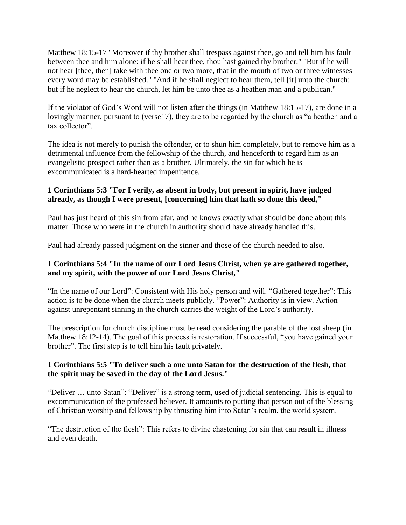Matthew 18:15-17 "Moreover if thy brother shall trespass against thee, go and tell him his fault between thee and him alone: if he shall hear thee, thou hast gained thy brother." "But if he will not hear [thee, then] take with thee one or two more, that in the mouth of two or three witnesses every word may be established." "And if he shall neglect to hear them, tell [it] unto the church: but if he neglect to hear the church, let him be unto thee as a heathen man and a publican."

If the violator of God's Word will not listen after the things (in Matthew 18:15-17), are done in a lovingly manner, pursuant to (verse17), they are to be regarded by the church as "a heathen and a tax collector".

The idea is not merely to punish the offender, or to shun him completely, but to remove him as a detrimental influence from the fellowship of the church, and henceforth to regard him as an evangelistic prospect rather than as a brother. Ultimately, the sin for which he is excommunicated is a hard-hearted impenitence.

## **1 Corinthians 5:3 "For I verily, as absent in body, but present in spirit, have judged already, as though I were present, [concerning] him that hath so done this deed,"**

Paul has just heard of this sin from afar, and he knows exactly what should be done about this matter. Those who were in the church in authority should have already handled this.

Paul had already passed judgment on the sinner and those of the church needed to also.

## **1 Corinthians 5:4 "In the name of our Lord Jesus Christ, when ye are gathered together, and my spirit, with the power of our Lord Jesus Christ,"**

"In the name of our Lord": Consistent with His holy person and will. "Gathered together": This action is to be done when the church meets publicly. "Power": Authority is in view. Action against unrepentant sinning in the church carries the weight of the Lord's authority.

The prescription for church discipline must be read considering the parable of the lost sheep (in Matthew 18:12-14). The goal of this process is restoration. If successful, "you have gained your brother". The first step is to tell him his fault privately.

### **1 Corinthians 5:5 "To deliver such a one unto Satan for the destruction of the flesh, that the spirit may be saved in the day of the Lord Jesus."**

"Deliver … unto Satan": "Deliver" is a strong term, used of judicial sentencing. This is equal to excommunication of the professed believer. It amounts to putting that person out of the blessing of Christian worship and fellowship by thrusting him into Satan's realm, the world system.

"The destruction of the flesh": This refers to divine chastening for sin that can result in illness and even death.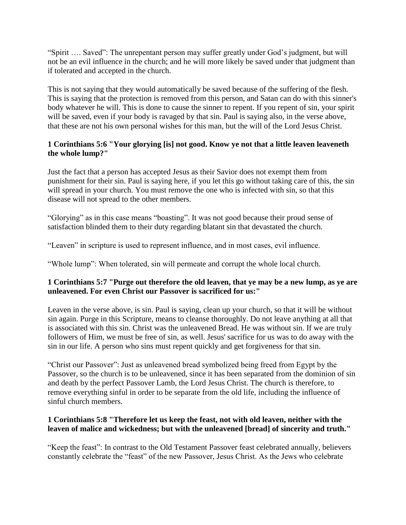"Spirit …. Saved": The unrepentant person may suffer greatly under God's judgment, but will not be an evil influence in the church; and he will more likely be saved under that judgment than if tolerated and accepted in the church.

This is not saying that they would automatically be saved because of the suffering of the flesh. This is saying that the protection is removed from this person, and Satan can do with this sinner's body whatever he will. This is done to cause the sinner to repent. If you repent of sin, your spirit will be saved, even if your body is ravaged by that sin. Paul is saying also, in the verse above, that these are not his own personal wishes for this man, but the will of the Lord Jesus Christ.

## **1 Corinthians 5:6 "Your glorying [is] not good. Know ye not that a little leaven leaveneth the whole lump?"**

Just the fact that a person has accepted Jesus as their Savior does not exempt them from punishment for their sin. Paul is saying here, if you let this go without taking care of this, the sin will spread in your church. You must remove the one who is infected with sin, so that this disease will not spread to the other members.

"Glorying" as in this case means "boasting". It was not good because their proud sense of satisfaction blinded them to their duty regarding blatant sin that devastated the church.

"Leaven" in scripture is used to represent influence, and in most cases, evil influence.

"Whole lump": When tolerated, sin will permeate and corrupt the whole local church.

### **1 Corinthians 5:7 "Purge out therefore the old leaven, that ye may be a new lump, as ye are unleavened. For even Christ our Passover is sacrificed for us:"**

Leaven in the verse above, is sin. Paul is saying, clean up your church, so that it will be without sin again. Purge in this Scripture, means to cleanse thoroughly. Do not leave anything at all that is associated with this sin. Christ was the unleavened Bread. He was without sin. If we are truly followers of Him, we must be free of sin, as well. Jesus' sacrifice for us was to do away with the sin in our life. A person who sins must repent quickly and get forgiveness for that sin.

"Christ our Passover": Just as unleavened bread symbolized being freed from Egypt by the Passover, so the church is to be unleavened, since it has been separated from the dominion of sin and death by the perfect Passover Lamb, the Lord Jesus Christ. The church is therefore, to remove everything sinful in order to be separate from the old life, including the influence of sinful church members.

### **1 Corinthians 5:8 "Therefore let us keep the feast, not with old leaven, neither with the leaven of malice and wickedness; but with the unleavened [bread] of sincerity and truth."**

"Keep the feast": In contrast to the Old Testament Passover feast celebrated annually, believers constantly celebrate the "feast" of the new Passover, Jesus Christ. As the Jews who celebrate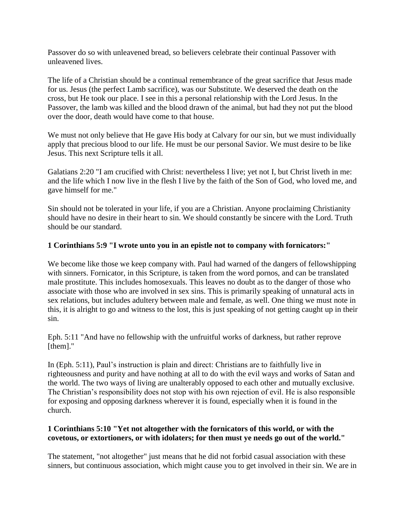Passover do so with unleavened bread, so believers celebrate their continual Passover with unleavened lives.

The life of a Christian should be a continual remembrance of the great sacrifice that Jesus made for us. Jesus (the perfect Lamb sacrifice), was our Substitute. We deserved the death on the cross, but He took our place. I see in this a personal relationship with the Lord Jesus. In the Passover, the lamb was killed and the blood drawn of the animal, but had they not put the blood over the door, death would have come to that house.

We must not only believe that He gave His body at Calvary for our sin, but we must individually apply that precious blood to our life. He must be our personal Savior. We must desire to be like Jesus. This next Scripture tells it all.

Galatians 2:20 "I am crucified with Christ: nevertheless I live; yet not I, but Christ liveth in me: and the life which I now live in the flesh I live by the faith of the Son of God, who loved me, and gave himself for me."

Sin should not be tolerated in your life, if you are a Christian. Anyone proclaiming Christianity should have no desire in their heart to sin. We should constantly be sincere with the Lord. Truth should be our standard.

#### **1 Corinthians 5:9 "I wrote unto you in an epistle not to company with fornicators:"**

We become like those we keep company with. Paul had warned of the dangers of fellowshipping with sinners. Fornicator, in this Scripture, is taken from the word pornos, and can be translated male prostitute. This includes homosexuals. This leaves no doubt as to the danger of those who associate with those who are involved in sex sins. This is primarily speaking of unnatural acts in sex relations, but includes adultery between male and female, as well. One thing we must note in this, it is alright to go and witness to the lost, this is just speaking of not getting caught up in their sin.

Eph. 5:11 "And have no fellowship with the unfruitful works of darkness, but rather reprove [them]."

In (Eph. 5:11), Paul's instruction is plain and direct: Christians are to faithfully live in righteousness and purity and have nothing at all to do with the evil ways and works of Satan and the world. The two ways of living are unalterably opposed to each other and mutually exclusive. The Christian's responsibility does not stop with his own rejection of evil. He is also responsible for exposing and opposing darkness wherever it is found, especially when it is found in the church.

#### **1 Corinthians 5:10 "Yet not altogether with the fornicators of this world, or with the covetous, or extortioners, or with idolaters; for then must ye needs go out of the world."**

The statement, "not altogether" just means that he did not forbid casual association with these sinners, but continuous association, which might cause you to get involved in their sin. We are in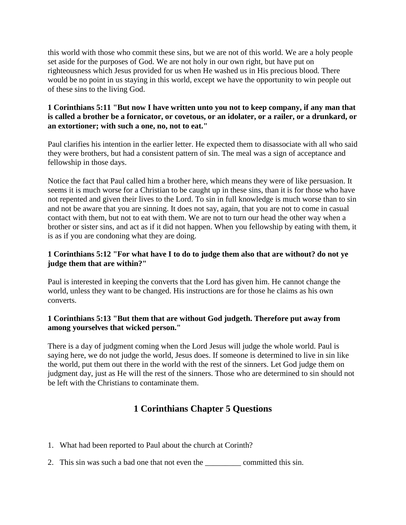this world with those who commit these sins, but we are not of this world. We are a holy people set aside for the purposes of God. We are not holy in our own right, but have put on righteousness which Jesus provided for us when He washed us in His precious blood. There would be no point in us staying in this world, except we have the opportunity to win people out of these sins to the living God.

#### **1 Corinthians 5:11 "But now I have written unto you not to keep company, if any man that is called a brother be a fornicator, or covetous, or an idolater, or a railer, or a drunkard, or an extortioner; with such a one, no, not to eat."**

Paul clarifies his intention in the earlier letter. He expected them to disassociate with all who said they were brothers, but had a consistent pattern of sin. The meal was a sign of acceptance and fellowship in those days.

Notice the fact that Paul called him a brother here, which means they were of like persuasion. It seems it is much worse for a Christian to be caught up in these sins, than it is for those who have not repented and given their lives to the Lord. To sin in full knowledge is much worse than to sin and not be aware that you are sinning. It does not say, again, that you are not to come in casual contact with them, but not to eat with them. We are not to turn our head the other way when a brother or sister sins, and act as if it did not happen. When you fellowship by eating with them, it is as if you are condoning what they are doing.

### **1 Corinthians 5:12 "For what have I to do to judge them also that are without? do not ye judge them that are within?"**

Paul is interested in keeping the converts that the Lord has given him. He cannot change the world, unless they want to be changed. His instructions are for those he claims as his own converts.

### **1 Corinthians 5:13 "But them that are without God judgeth. Therefore put away from among yourselves that wicked person."**

There is a day of judgment coming when the Lord Jesus will judge the whole world. Paul is saying here, we do not judge the world, Jesus does. If someone is determined to live in sin like the world, put them out there in the world with the rest of the sinners. Let God judge them on judgment day, just as He will the rest of the sinners. Those who are determined to sin should not be left with the Christians to contaminate them.

# **1 Corinthians Chapter 5 Questions**

- 1. What had been reported to Paul about the church at Corinth?
- 2. This sin was such a bad one that not even the \_\_\_\_\_\_\_\_\_ committed this sin.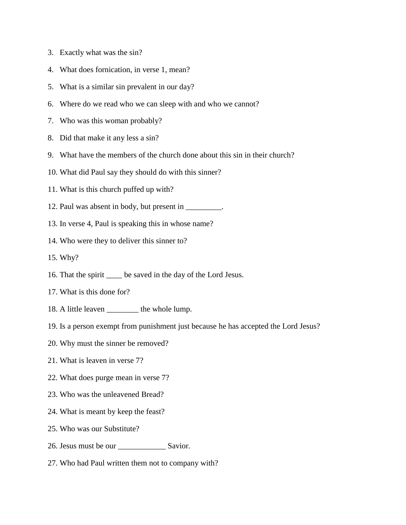- 3. Exactly what was the sin?
- 4. What does fornication, in verse 1, mean?
- 5. What is a similar sin prevalent in our day?
- 6. Where do we read who we can sleep with and who we cannot?
- 7. Who was this woman probably?
- 8. Did that make it any less a sin?
- 9. What have the members of the church done about this sin in their church?
- 10. What did Paul say they should do with this sinner?
- 11. What is this church puffed up with?
- 12. Paul was absent in body, but present in \_\_\_\_\_\_\_\_\_.
- 13. In verse 4, Paul is speaking this in whose name?
- 14. Who were they to deliver this sinner to?
- 15. Why?
- 16. That the spirit \_\_\_\_ be saved in the day of the Lord Jesus.
- 17. What is this done for?
- 18. A little leaven \_\_\_\_\_\_\_\_ the whole lump.
- 19. Is a person exempt from punishment just because he has accepted the Lord Jesus?
- 20. Why must the sinner be removed?
- 21. What is leaven in verse 7?
- 22. What does purge mean in verse 7?
- 23. Who was the unleavened Bread?
- 24. What is meant by keep the feast?
- 25. Who was our Substitute?
- 26. Jesus must be our \_\_\_\_\_\_\_\_\_\_\_\_ Savior.
- 27. Who had Paul written them not to company with?